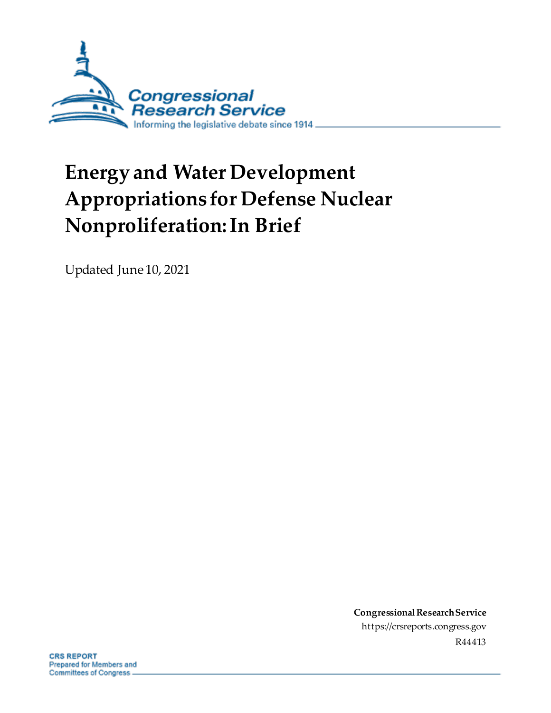

# **Energy and Water Development Appropriations for Defense Nuclear Nonproliferation: In Brief**

Updated June 10, 2021

**Congressional Research Service** https://crsreports.congress.gov R44413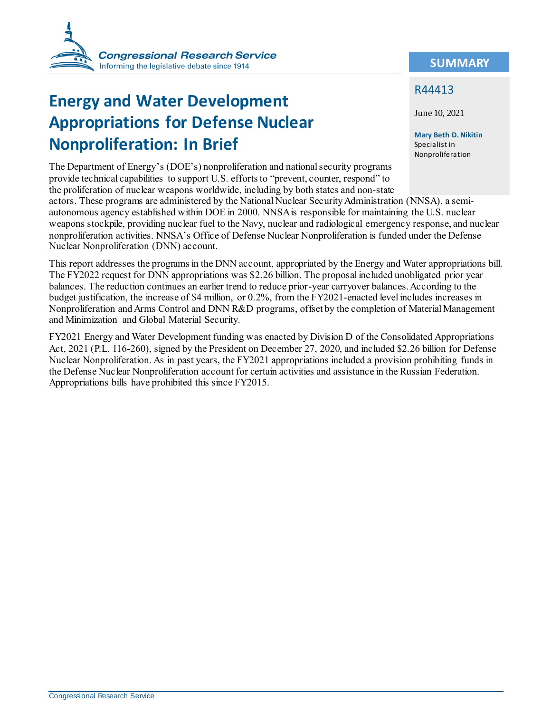

# **Energy and Water Development Appropriations for Defense Nuclear Nonproliferation: In Brief**

The Department of Energy's (DOE's) nonproliferation and national security programs provide technical capabilities to support U.S. efforts to "prevent, counter, respond" to the proliferation of nuclear weapons worldwide, including by both states and non-state actors. These programs are administered by the National Nuclear Security Administration (NNSA), a semi-

autonomous agency established within DOE in 2000. NNSA is responsible for maintaining the U.S. nuclear weapons stockpile, providing nuclear fuel to the Navy, nuclear and radiological emergency response, and nuclear nonproliferation activities. NNSA's Office of Defense Nuclear Nonproliferation is funded under the Defense Nuclear Nonproliferation (DNN) account.

This report addresses the programs in the DNN account, appropriated by the Energy and Water appropriations bill. The FY2022 request for DNN appropriations was \$2.26 billion. The proposal included unobligated prior year balances. The reduction continues an earlier trend to reduce prior-year carryover balances. According to the budget justification, the increase of \$4 million, or 0.2%, from the FY2021-enacted level includes increases in Nonproliferation and Arms Control and DNN R&D programs, offset by the completion of Material Management and Minimization and Global Material Security.

FY2021 Energy and Water Development funding was enacted by Division D of the Consolidated Appropriations Act, 2021 (P.L. 116-260), signed by the President on December 27, 2020, and included \$2.26 billion for Defense Nuclear Nonproliferation. As in past years, the FY2021 appropriations included a provision prohibiting funds in the Defense Nuclear Nonproliferation account for certain activities and assistance in the Russian Federation. Appropriations bills have prohibited this since FY2015.

#### **SUMMARY**

#### R44413

June 10, 2021

**Mary Beth D. Nikitin** Specialist in Nonproliferation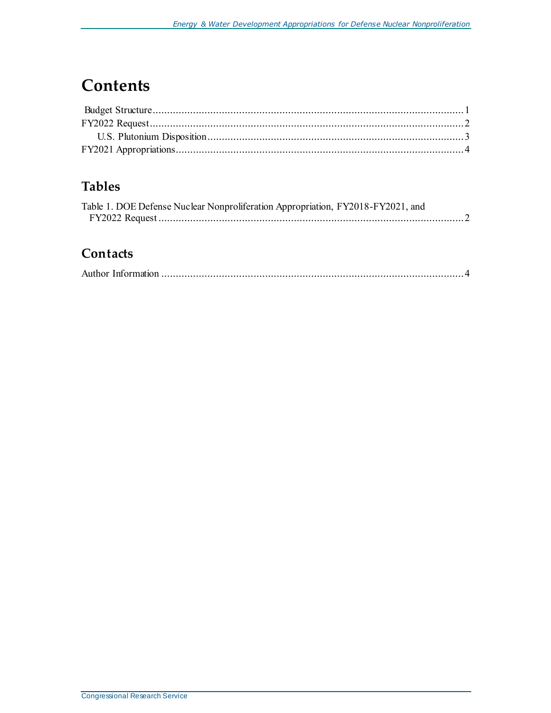# **Contents**

### **Tables**

| Table 1. DOE Defense Nuclear Nonproliferation Appropriation, FY2018-FY2021, and |  |
|---------------------------------------------------------------------------------|--|
|                                                                                 |  |

#### **Contacts**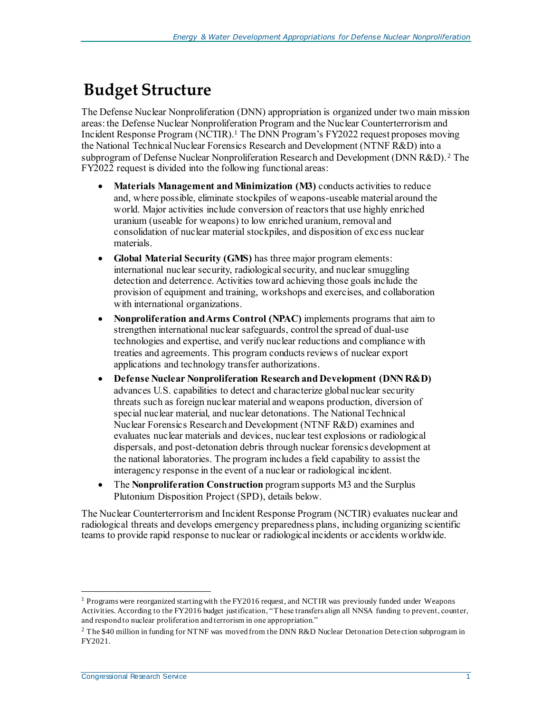### <span id="page-3-0"></span>**Budget Structure**

The Defense Nuclear Nonproliferation (DNN) appropriation is organized under two main mission areas: the Defense Nuclear Nonproliferation Program and the Nuclear Counterterrorism and Incident Response Program (NCTIR).<sup>1</sup> The DNN Program's FY2022 request proposes moving the National Technical Nuclear Forensics Research and Development (NTNF R&D) into a subprogram of Defense Nuclear Nonproliferation Research and Development (DNN R&D). <sup>2</sup> The FY2022 request is divided into the following functional areas:

- **Materials Management and Minimization (M3)** conducts activities to reduce and, where possible, eliminate stockpiles of weapons-useable material around the world. Major activities include conversion of reactors that use highly enriched uranium (useable for weapons) to low enriched uranium, removal and consolidation of nuclear material stockpiles, and disposition of excess nuclear materials.
- **Global Material Security (GMS)** has three major program elements: international nuclear security, radiological security, and nuclear smuggling detection and deterrence. Activities toward achieving those goals include the provision of equipment and training, workshops and exercises, and collaboration with international organizations.
- **Nonproliferation and Arms Control (NPAC)** implements programs that aim to strengthen international nuclear safeguards, control the spread of dual-use technologies and expertise, and verify nuclear reductions and compliance with treaties and agreements. This program conducts reviews of nuclear export applications and technology transfer authorizations.
- **Defense Nuclear Nonproliferation Research and Development (DNN R&D)**  advances U.S. capabilities to detect and characterize global nuclear security threats such as foreign nuclear material and weapons production, diversion of special nuclear material, and nuclear detonations. The National Technical Nuclear Forensics Research and Development (NTNF R&D) examines and evaluates nuclear materials and devices, nuclear test explosions or radiological dispersals, and post-detonation debris through nuclear forensics development at the national laboratories. The program includes a field capability to assist the interagency response in the event of a nuclear or radiological incident.
- The **Nonproliferation Construction** program supports M3 and the Surplus Plutonium Disposition Project (SPD), details below.

The Nuclear Counterterrorism and Incident Response Program (NCTIR) evaluates nuclear and radiological threats and develops emergency preparedness plans, including organizing scientific teams to provide rapid response to nuclear or radiological incidents or accidents worldwide.

j

 $1$  Programs were reorganized starting with the FY2016 request, and NCTIR was previously funded under Weapons Activities. According to the FY2016 budget justification, "These transfers align all NNSA funding to prevent, counter, and respond to nuclear proliferation and terrorism in one appropriation."

<sup>&</sup>lt;sup>2</sup> The \$40 million in funding for NTNF was moved from the DNN R&D Nuclear Detonation Detection subprogram in FY2021.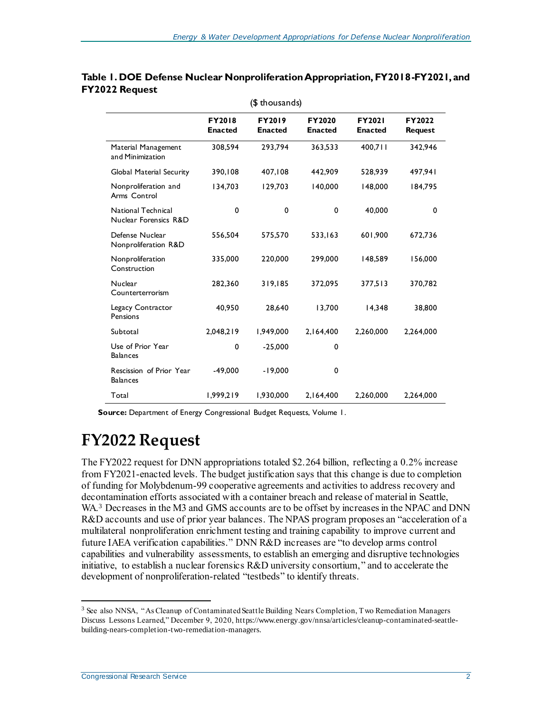| (\$ thousands)                              |                                 |                                 |                          |                                 |                          |  |  |  |  |
|---------------------------------------------|---------------------------------|---------------------------------|--------------------------|---------------------------------|--------------------------|--|--|--|--|
|                                             | <b>FY2018</b><br><b>Enacted</b> | <b>FY2019</b><br><b>Enacted</b> | FY2020<br><b>Enacted</b> | <b>FY2021</b><br><b>Enacted</b> | FY2022<br><b>Request</b> |  |  |  |  |
| Material Management<br>and Minimization     | 308,594                         | 293,794                         | 363,533                  | 400,711                         | 342,946                  |  |  |  |  |
| <b>Global Material Security</b>             | 390,108                         | 407,108                         | 442,909                  | 528,939                         | 497,941                  |  |  |  |  |
| Nonproliferation and<br>Arms Control        | 134,703                         | 129,703                         | 140,000                  | 148,000                         | 184,795                  |  |  |  |  |
| National Technical<br>Nuclear Forensics R&D | 0                               | $\mathbf 0$                     | $\mathbf 0$              | 40,000                          | 0                        |  |  |  |  |
| Defense Nuclear<br>Nonproliferation R&D     | 556,504                         | 575,570                         | 533,163                  | 601,900                         | 672,736                  |  |  |  |  |
| Nonproliferation<br>Construction            | 335,000                         | 220,000                         | 299,000                  | 148,589                         | 156,000                  |  |  |  |  |
| Nuclear<br>Counterterrorism                 | 282,360                         | 319,185                         | 372,095                  | 377,513                         | 370,782                  |  |  |  |  |
| Legacy Contractor<br>Pensions               | 40,950                          | 28,640                          | 13,700                   | 14,348                          | 38,800                   |  |  |  |  |
| Subtotal                                    | 2,048,219                       | 1,949,000                       | 2,164,400                | 2,260,000                       | 2,264,000                |  |  |  |  |
| Use of Prior Year<br><b>Balances</b>        | 0                               | $-25,000$                       | $\mathbf 0$              |                                 |                          |  |  |  |  |
| Rescission of Prior Year<br><b>Balances</b> | $-49,000$                       | $-19,000$                       | 0                        |                                 |                          |  |  |  |  |
| Total                                       | 1,999,219                       | 1,930,000                       | 2,164,400                | 2,260,000                       | 2,264,000                |  |  |  |  |

#### <span id="page-4-1"></span>**Table 1. DOE Defense Nuclear Nonproliferation Appropriation, FY2018-FY2021, and FY2022 Request**

**Source:** Department of Energy Congressional Budget Requests, Volume 1.

# <span id="page-4-0"></span>**FY2022 Request**

The FY2022 request for DNN appropriations totaled \$2.264 billion, reflecting a 0.2% increase from FY2021-enacted levels. The budget justification says that this change is due to completion of funding for Molybdenum-99 cooperative agreements and activities to address recovery and decontamination efforts associated with a container breach and release of material in Seattle, WA.<sup>3</sup> Decreases in the M3 and GMS accounts are to be offset by increases in the NPAC and DNN R&D accounts and use of prior year balances. The NPAS program proposes an "acceleration of a multilateral nonproliferation enrichment testing and training capability to improve current and future IAEA verification capabilities." DNN R&D increases are "to develop arms control capabilities and vulnerability assessments, to establish an emerging and disruptive technologies initiative, to establish a nuclear forensics R&D university consortium," and to accelerate the development of nonproliferation-related "testbeds" to identify threats.

l

<sup>3</sup> See also NNSA, "As Cleanup of Contaminated Seattle Building Nears Completion, Two Remediation Managers Discuss Lessons Learned," December 9, 2020, https://www.energy.gov/nnsa/articles/cleanup-contaminated-seattlebuilding-nears-completion-two-remediation-managers.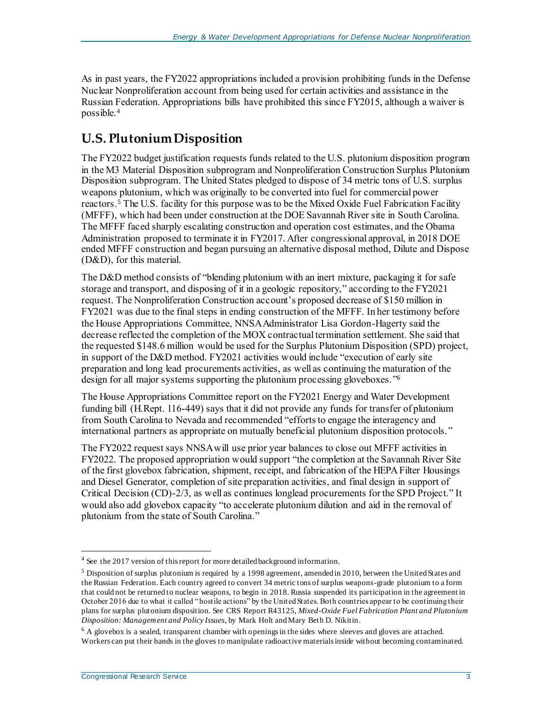As in past years, the FY2022 appropriations included a provision prohibiting funds in the Defense Nuclear Nonproliferation account from being used for certain activities and assistance in the Russian Federation. Appropriations bills have prohibited this since FY2015, although a waiver is possible.<sup>4</sup>

### <span id="page-5-0"></span>**U.S. Plutonium Disposition**

The FY2022 budget justification requests funds related to the U.S. plutonium disposition program in the M3 Material Disposition subprogram and Nonproliferation Construction Surplus Plutonium Disposition subprogram. The United States pledged to dispose of 34 metric tons of U.S. surplus weapons plutonium, which was originally to be converted into fuel for commercial power reactors.<sup>5</sup> The U.S. facility for this purpose was to be the Mixed Oxide Fuel Fabrication Facility (MFFF), which had been under construction at the DOE Savannah River site in South Carolina. The MFFF faced sharply escalating construction and operation cost estimates, and the Obama Administration proposed to terminate it in FY2017. After congressional approval, in 2018 DOE ended MFFF construction and began pursuing an alternative disposal method, Dilute and Dispose (D&D), for this material.

The D&D method consists of "blending plutonium with an inert mixture, packaging it for safe storage and transport, and disposing of it in a geologic repository," according to the FY2021 request. The Nonproliferation Construction account's proposed decrease of \$150 million in FY2021 was due to the final steps in ending construction of the MFFF. In her testimony before the House Appropriations Committee, NNSA Administrator Lisa Gordon-Hagerty said the decrease reflected the completion of the MOX contractual termination settlement. She said that the requested \$148.6 million would be used for the Surplus Plutonium Disposition (SPD) project, in support of the D&D method. FY2021 activities would include "execution of early site preparation and long lead procurements activities, as well as continuing the maturation of the design for all major systems supporting the plutonium processing gloveboxes." 6

The House Appropriations Committee report on the FY2021 Energy and Water Development funding bill (H.Rept. 116-449) says that it did not provide any funds for transfer of plutonium from South Carolina to Nevada and recommended "efforts to engage the interagency and international partners as appropriate on mutually beneficial plutonium disposition protocols."

The FY2022 request says NNSA will use prior year balances to close out MFFF activities in FY2022. The proposed appropriation would support "the completion at the Savannah River Site of the first glovebox fabrication, shipment, receipt, and fabrication of the HEPA Filter Housings and Diesel Generator, completion of site preparation activities, and final design in support of Critical Decision (CD)-2/3, as well as continues longlead procurements for the SPD Project." It would also add glovebox capacity "to accelerate plutonium dilution and aid in the removal of plutonium from the state of South Carolina."

<span id="page-5-1"></span>l

<sup>&</sup>lt;sup>4</sup> See the 2017 version of this report for more detailed background information.

 $5$  Disposition of surplus plutonium is required by a 1998 agreement, amended in 2010, between the United States and the Russian Federation. Each country agreed to convert 34 metric tons of surplus weapons-grade plutonium to a form that could not be returned to nuclear weapons, to begin in 2018. Russia suspended its participation in the agreement in October 2016 due to what it called "hostile actions" by the United States. Both countries appear to be continuing their plans for surplus plutonium disposition. See CRS Report R43125, *Mixed-Oxide Fuel Fabrication Plant and Plutonium Disposition: Management and Policy Issues*, by Mark Holt and Mary Beth D. Nikitin.

<sup>6</sup> A glovebox is a sealed, transparent chamber with openings in the sides where sleeves and gloves are attached. Workers can put their hands in the gloves to manipulate radioactive materials inside without becoming contaminated.